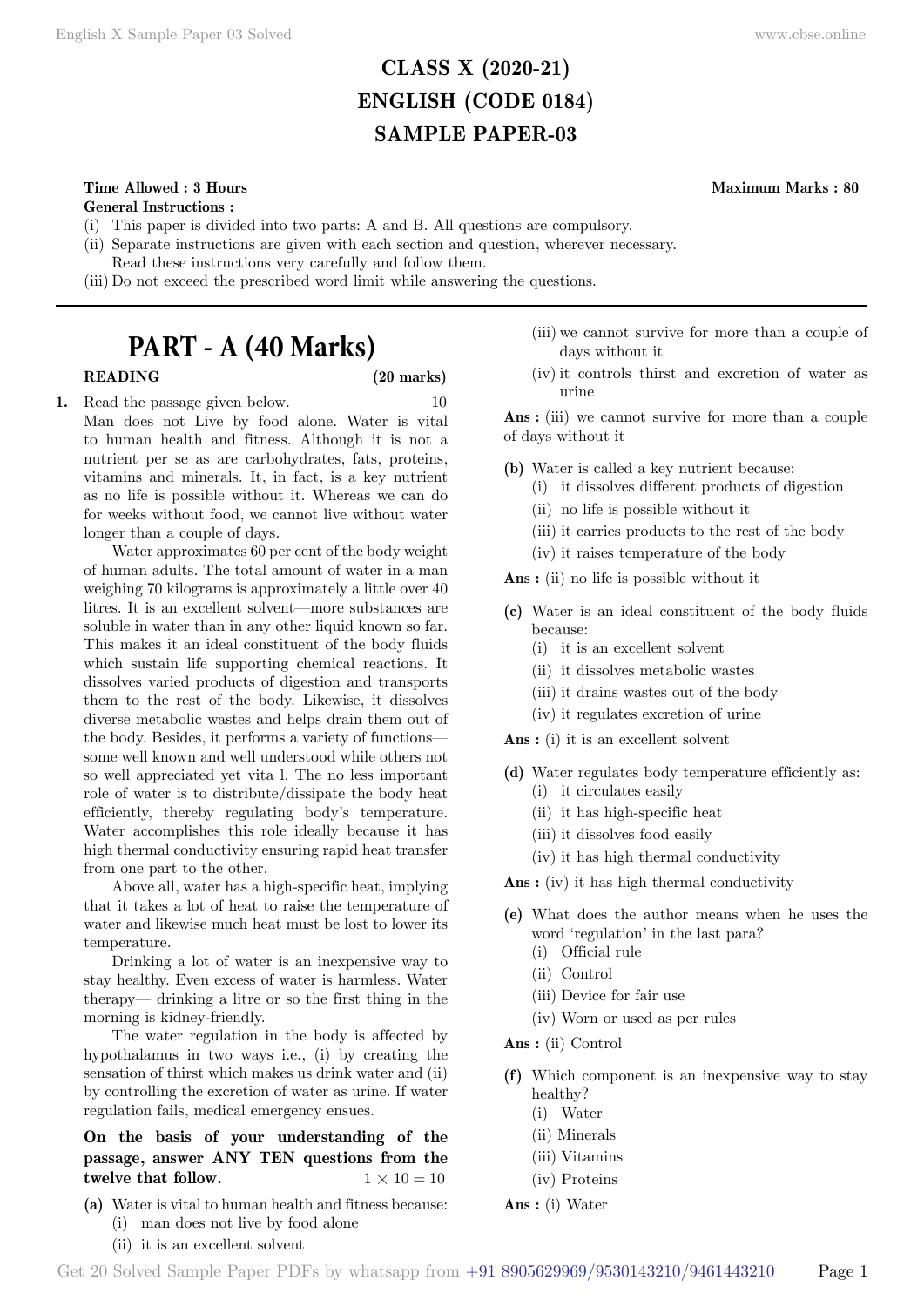# **CLASS X (2020-21) ENGLISH (CODE 0184) SAMPLE PAPER-03**

# **Time Allowed : 3 Hours Maximum Marks : 80**

**General Instructions :**

- (i) This paper is divided into two parts: A and B. All questions are compulsory.
- (ii) Separate instructions are given with each section and question, wherever necessary.
- Read these instructions very carefully and follow them.
- (iii) Do not exceed the prescribed word limit while answering the questions.

# **PART - A (40 Marks)**

#### **READING (20 marks)**

**1.** Read the passage given below. 10 Man does not Live by food alone. Water is vital to human health and fitness. Although it is not a nutrient per se as are carbohydrates, fats, proteins, vitamins and minerals. It, in fact, is a key nutrient as no life is possible without it. Whereas we can do for weeks without food, we cannot live without water longer than a couple of days.

Water approximates 60 per cent of the body weight of human adults. The total amount of water in a man weighing 70 kilograms is approximately a little over 40 litres. It is an excellent solvent—more substances are soluble in water than in any other liquid known so far. This makes it an ideal constituent of the body fluids which sustain life supporting chemical reactions. It dissolves varied products of digestion and transports them to the rest of the body. Likewise, it dissolves diverse metabolic wastes and helps drain them out of the body. Besides, it performs a variety of functions some well known and well understood while others not so well appreciated yet vita l. The no less important role of water is to distribute/dissipate the body heat efficiently, thereby regulating body's temperature. Water accomplishes this role ideally because it has high thermal conductivity ensuring rapid heat transfer from one part to the other.

Above all, water has a high-specific heat, implying that it takes a lot of heat to raise the temperature of water and likewise much heat must be lost to lower its temperature.

Drinking a lot of water is an inexpensive way to stay healthy. Even excess of water is harmless. Water therapy— drinking a litre or so the first thing in the morning is kidney-friendly.

The water regulation in the body is affected by hypothalamus in two ways i.e., (i) by creating the sensation of thirst which makes us drink water and (ii) by controlling the excretion of water as urine. If water regulation fails, medical emergency ensues.

# **On the basis of your understanding of the passage, answer ANY TEN questions from the twelve that follow.**  $1 \times 10 = 10$

- **(a)** Water is vital to human health and fitness because: (i) man does not live by food alone
	- (ii) it is an excellent solvent
- (iii) we cannot survive for more than a couple of days without it
- (iv) it controls thirst and excretion of water as urine

 **Ans :** (iii) we cannot survive for more than a couple of days without it

- **(b)** Water is called a key nutrient because:
	- (i) it dissolves different products of digestion
	- (ii) no life is possible without it
	- (iii) it carries products to the rest of the body
	- (iv) it raises temperature of the body

 **Ans :** (ii) no life is possible without it

- **(c)** Water is an ideal constituent of the body fluids because:
	- (i) it is an excellent solvent
	- (ii) it dissolves metabolic wastes
	- (iii) it drains wastes out of the body
	- (iv) it regulates excretion of urine

 **Ans :** (i) it is an excellent solvent

- **(d)** Water regulates body temperature efficiently as:
	- (i) it circulates easily
	- (ii) it has high-specific heat
	- (iii) it dissolves food easily
	- (iv) it has high thermal conductivity

 **Ans :** (iv) it has high thermal conductivity

- **(e)** What does the author means when he uses the word 'regulation' in the last para?
	- (i) Official rule
	- (ii) Control
	- (iii) Device for fair use
	- (iv) Worn or used as per rules

 **Ans :** (ii) Control

- **(f)** Which component is an inexpensive way to stay healthy?
	- (i) Water
	- (ii) Minerals
	- (iii) Vitamins
	- (iv) Proteins
- **Ans :** (i) Water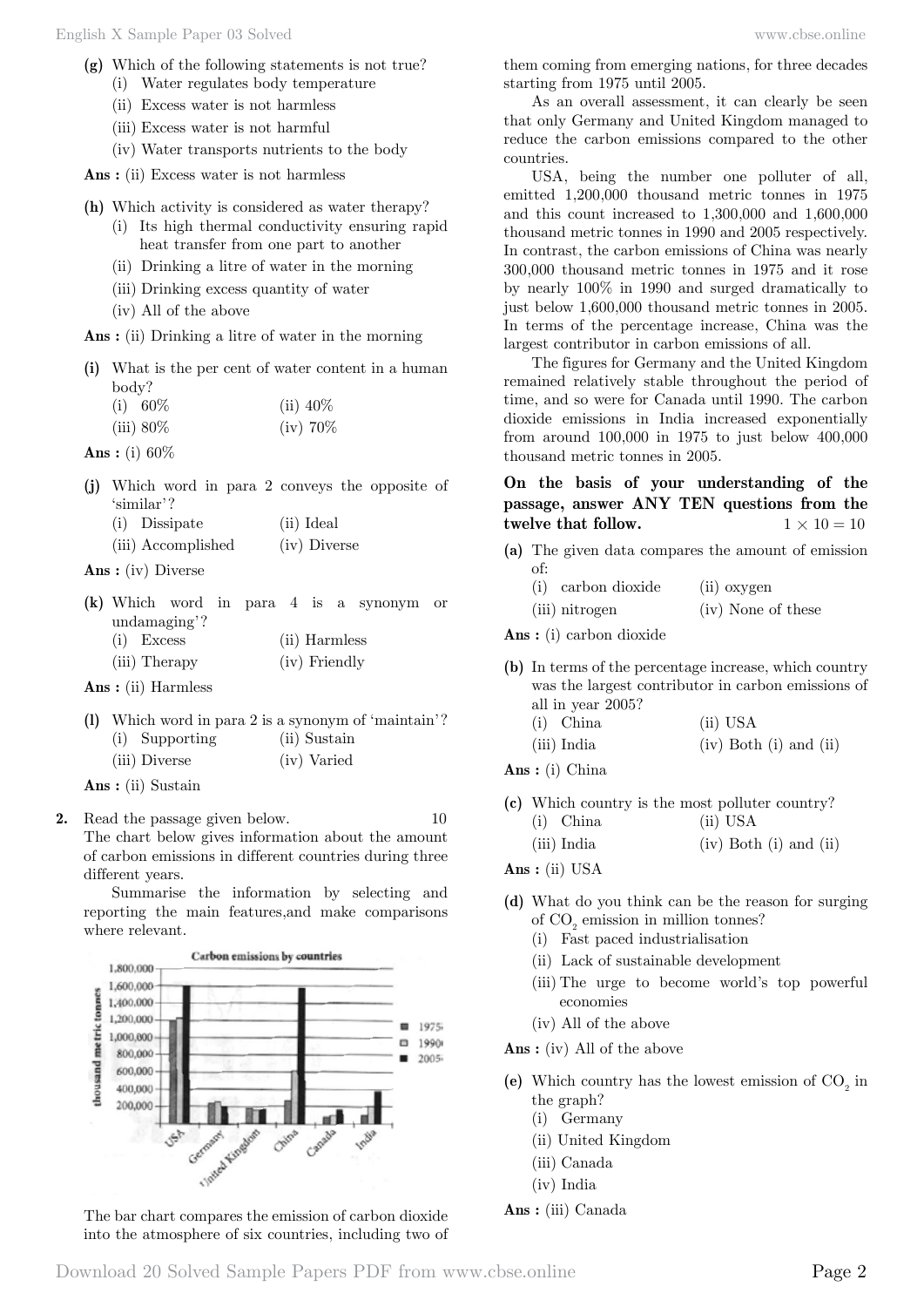- **(g)** Which of the following statements is not true?
	- (i) Water regulates body temperature
	- (ii) Excess water is not harmless
	- (iii) Excess water is not harmful
	- (iv) Water transports nutrients to the body

 **Ans :** (ii) Excess water is not harmless

- **(h)** Which activity is considered as water therapy?
	- (i) Its high thermal conductivity ensuring rapid heat transfer from one part to another
	- (ii) Drinking a litre of water in the morning
	- (iii) Drinking excess quantity of water
	- (iv) All of the above

 **Ans :** (ii) Drinking a litre of water in the morning

**(i)** What is the per cent of water content in a human body?

| $(i) 60\%$   | (ii) $40\%$ |
|--------------|-------------|
| $(iii) 80\%$ | $(iv)$ 70\% |

 **Ans :** (i) 60%

- **(j)** Which word in para 2 conveys the opposite of 'similar'? (i) Dissipate (ii) Ideal
	- (iii) Accomplished (iv) Diverse

 **Ans :** (iv) Diverse

- **(k)** Which word in para 4 is a synonym or undamaging'? (i) Excess (ii) Harmless
	- (iii) Therapy (iv) Friendly

 **Ans :** (ii) Harmless

**(l)** Which word in para 2 is a synonym of 'maintain'? (i) Supporting (ii) Sustain (iii) Diverse (iv) Varied

 **Ans :** (ii) Sustain

**2.** Read the passage given below. 10 The chart below gives information about the amount of carbon emissions in different countries during three different years.

Summarise the information by selecting and reporting the main features,and make comparisons where relevant.



The bar chart compares the emission of carbon dioxide into the atmosphere of six countries, including two of

them coming from emerging nations, for three decades starting from 1975 until 2005.

As an overall assessment, it can clearly be seen that only Germany and United Kingdom managed to reduce the carbon emissions compared to the other countries.

USA, being the number one polluter of all, emitted 1,200,000 thousand metric tonnes in 1975 and this count increased to 1,300,000 and 1,600,000 thousand metric tonnes in 1990 and 2005 respectively. In contrast, the carbon emissions of China was nearly 300,000 thousand metric tonnes in 1975 and it rose by nearly 100% in 1990 and surged dramatically to just below 1,600,000 thousand metric tonnes in 2005. In terms of the percentage increase, China was the largest contributor in carbon emissions of all.

The figures for Germany and the United Kingdom remained relatively stable throughout the period of time, and so were for Canada until 1990. The carbon dioxide emissions in India increased exponentially from around 100,000 in 1975 to just below 400,000 thousand metric tonnes in 2005.

# **On the basis of your understanding of the passage, answer ANY TEN questions from the twelve that follow.**  $1 \times 10 = 10$

**(a)** The given data compares the amount of emission of:

| (i) carbon dioxide | (ii) oxygen        |
|--------------------|--------------------|
| (iii) nitrogen     | (iv) None of these |

 **Ans :** (i) carbon dioxide

**(b)** In terms of the percentage increase, which country was the largest contributor in carbon emissions of all in year 2005?

| $(i)$ China | $(ii)$ USA                   |
|-------------|------------------------------|
| (iii) India | $(iv)$ Both $(i)$ and $(ii)$ |

 **Ans :** (i) China

- **(c)** Which country is the most polluter country?
	- (i) China (ii) USA
	- (iii) India (iv) Both (i) and (ii)

 **Ans :** (ii) USA

- **(d)** What do you think can be the reason for surging of  $\mathrm{CO}_2$  emission in million tonnes?
	- (i) Fast paced industrialisation
	- (ii) Lack of sustainable development
	- (iii) The urge to become world's top powerful economies
	- (iv) All of the above

 **Ans :** (iv) All of the above

- (e) Which country has the lowest emission of  $CO<sub>2</sub>$  in the graph?
	- (i) Germany
	- (ii) United Kingdom
	- (iii) Canada
	- (iv) India
- **Ans :** (iii) Canada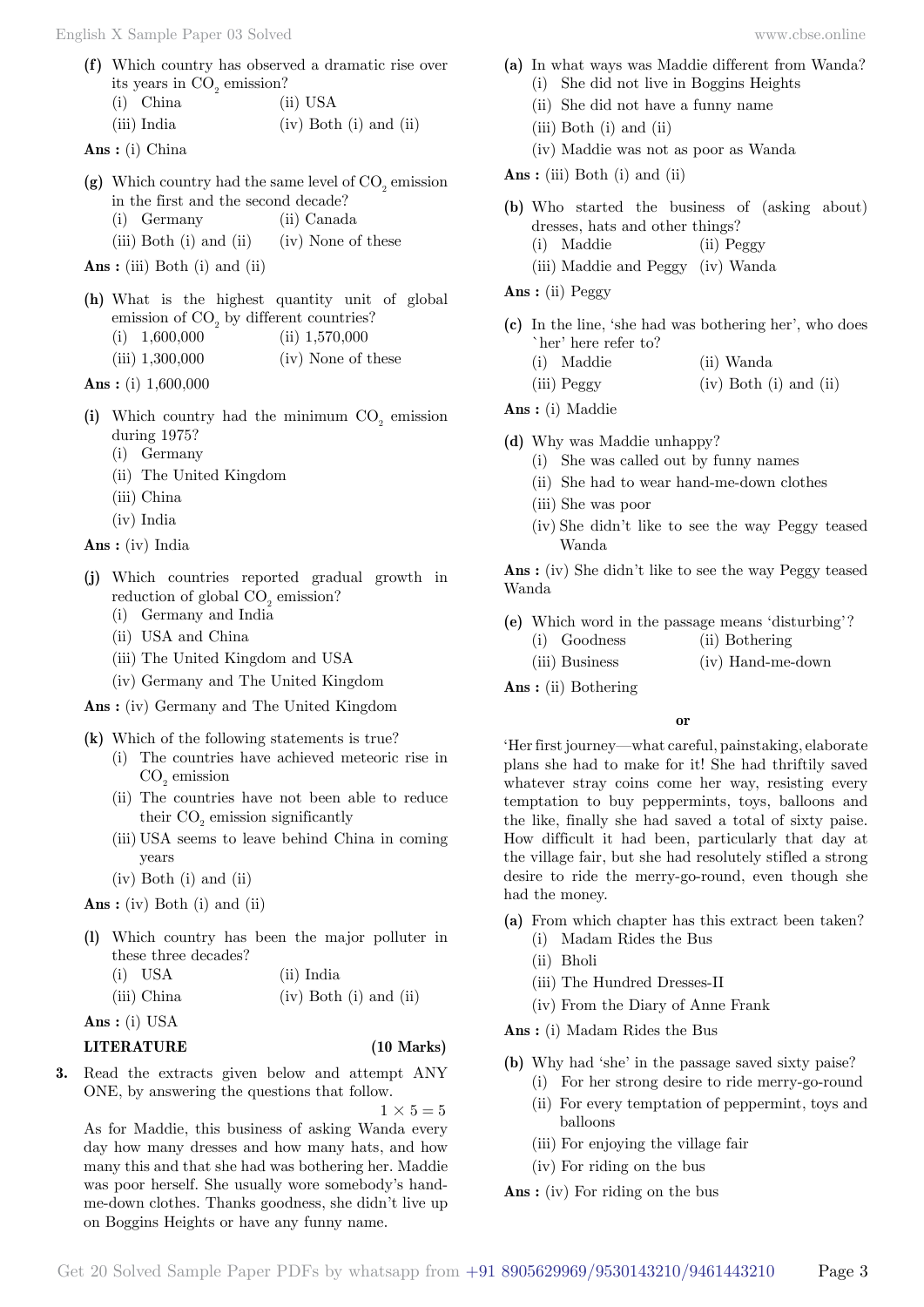**(f)** Which country has observed a dramatic rise over its years in  $CO<sub>2</sub>$  emission? (i) China (ii) USA (iii) India (iv) Both (i) and (ii)

 **Ans :** (i) China

- (g) Which country had the same level of  $CO<sub>2</sub>$  emission in the first and the second decade?
	- (i) Germany (ii) Canada
	- (iii) Both (i) and (ii) (iv) None of these

 **Ans :** (iii) Both (i) and (ii)

**(h)** What is the highest quantity unit of global emission of  $CO<sub>2</sub>$  by different countries? (i)  $1,600,000$  (ii)  $1,570,000$ (iii) 1,300,000 (iv) None of these

 **Ans :** (i) 1,600,000

- (i) Which country had the minimum  $CO<sub>2</sub>$  emission during 1975?
	- (i) Germany
	- (ii) The United Kingdom
	- (iii) China
	- (iv) India

 **Ans :** (iv) India

- **(j)** Which countries reported gradual growth in reduction of global  $CO_2$  emission?
	- (i) Germany and India
	- (ii) USA and China
	- (iii) The United Kingdom and USA
	- (iv) Germany and The United Kingdom

 **Ans :** (iv) Germany and The United Kingdom

- **(k)** Which of the following statements is true?
	- (i) The countries have achieved meteoric rise in  $CO<sub>2</sub>$  emission
	- (ii) The countries have not been able to reduce their  $CO<sub>2</sub>$  emission significantly
	- (iii) USA seems to leave behind China in coming years
	- (iv) Both (i) and (ii)

 **Ans :** (iv) Both (i) and (ii)

**(l)** Which country has been the major polluter in these three decades? (i)  $\text{UCA}$  (ii)  $\text{Indi}$ 

| $(1)$ $\cup$ $\Delta$ | (п) ница                     |
|-----------------------|------------------------------|
| (iii) China           | $(iv)$ Both $(i)$ and $(ii)$ |

 **Ans :** (i) USA

## **LITERATURE (10 Marks)**

 $1 \times 5 = 5$ 

**3.** Read the extracts given below and attempt ANY ONE, by answering the questions that follow.

on Boggins Heights or have any funny name.

As for Maddie, this business of asking Wanda every day how many dresses and how many hats, and how many this and that she had was bothering her. Maddie was poor herself. She usually wore somebody's handme-down clothes. Thanks goodness, she didn't live up

(ii) She had to wear hand-me-down clothes

**(a)** In what ways was Maddie different from Wanda? (i) She did not live in Boggins Heights (ii) She did not have a funny name

**(b)** Who started the business of (asking about)

**(c)** In the line, 'she had was bothering her', who does

(iv) Maddie was not as poor as Wanda

dresses, hats and other things? (i) Maddie (ii) Peggy (iii) Maddie and Peggy (iv) Wanda

- (iii) She was poor
- (iv) She didn't like to see the way Peggy teased Wanda

 **Ans :** (iv) She didn't like to see the way Peggy teased Wanda

- **(e)** Which word in the passage means 'disturbing'?
	- (i) Goodness (ii) Bothering
	- (iii) Business (iv) Hand-me-down
- **Ans :** (ii) Bothering

 **o**

'Her first journey—what careful, painstaking, elaborate plans she had to make for it! She had thriftily saved whatever stray coins come her way, resisting every temptation to buy peppermints, toys, balloons and the like, finally she had saved a total of sixty paise. How difficult it had been, particularly that day at the village fair, but she had resolutely stifled a strong desire to ride the merry-go-round, even though she had the money.

- **(a)** From which chapter has this extract been taken?
	- (i) Madam Rides the Bus
	- (ii) Bholi
	- (iii) The Hundred Dresses-II
	- (iv) From the Diary of Anne Frank

 **Ans :** (i) Madam Rides the Bus

- **(b)** Why had 'she' in the passage saved sixty paise? (i) For her strong desire to ride merry-go-round
	- (ii) For every temptation of peppermint, toys and balloons
	- (iii) For enjoying the village fair
	- (iv) For riding on the bus

 **Ans :** (iv) For riding on the bus

(iii)  $Peggy$  (iv) Both (i) and (ii)  **Ans :** (i) Maddie

 **Ans :** (ii) Peggy

**(d)** Why was Maddie unhappy?

`her' here refer to?

(iii) Both (i) and (ii)

 **Ans :** (iii) Both (i) and (ii)

(i) She was called out by funny names

(i) Maddie (ii) Wanda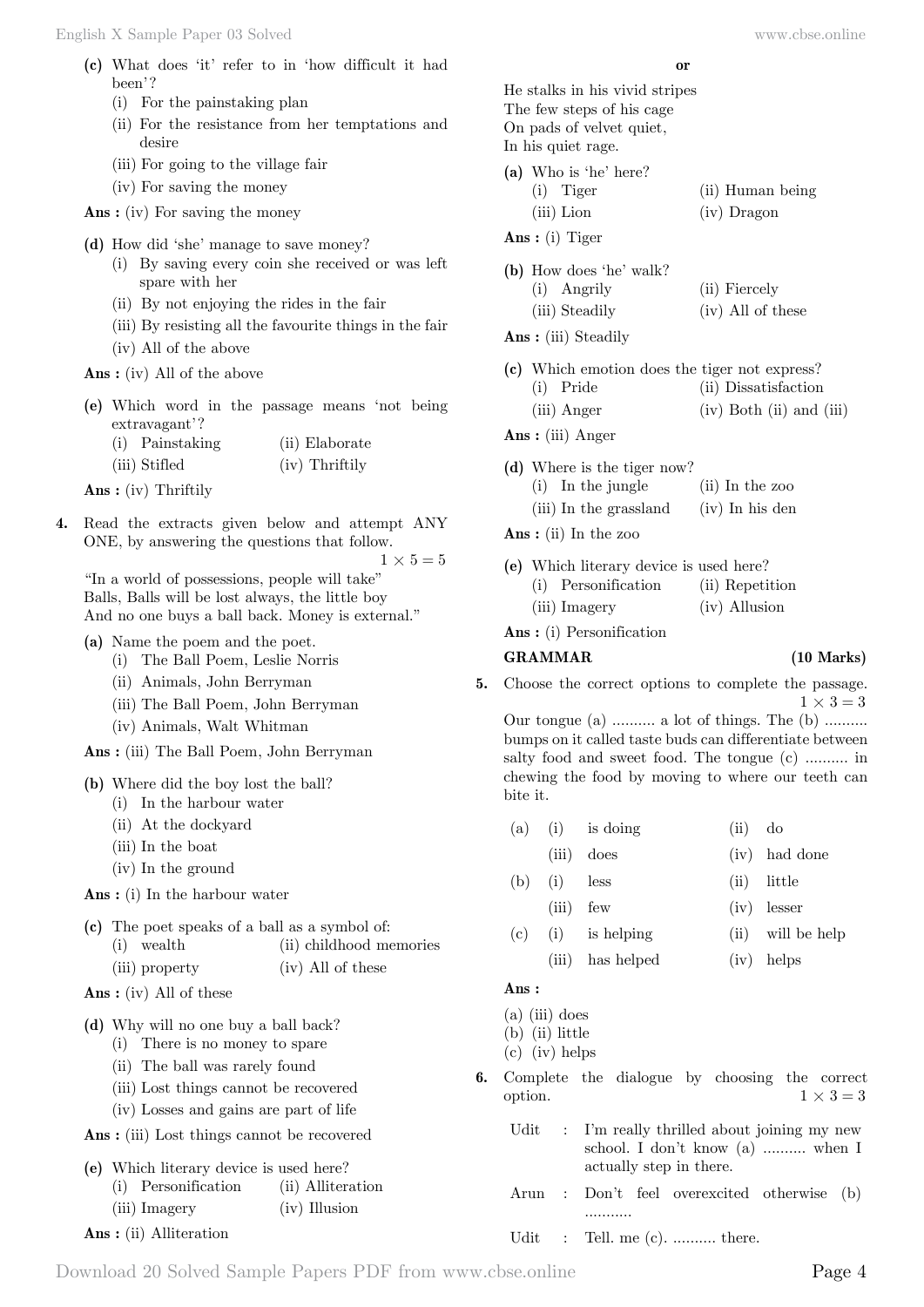- **(c)** What does 'it' refer to in 'how difficult it had been'?
	- (i) For the painstaking plan
	- (ii) For the resistance from her temptations and desire
	- (iii) For going to the village fair
	- (iv) For saving the money

 **Ans :** (iv) For saving the money

- **(d)** How did 'she' manage to save money?
	- (i) By saving every coin she received or was left spare with her
	- (ii) By not enjoying the rides in the fair
	- (iii) By resisting all the favourite things in the fair
	- (iv) All of the above

 **Ans :** (iv) All of the above

**(e)** Which word in the passage means 'not being extravagant'?

| (i) Painstaking | (ii) Elaborate |  |
|-----------------|----------------|--|
| (iii) Stifled   | (iv) Thriftily |  |

 **Ans :** (iv) Thriftily

**4.** Read the extracts given below and attempt ANY ONE, by answering the questions that follow.

 $1 \times 5 = 5$ 

"In a world of possessions, people will take" Balls, Balls will be lost always, the little boy And no one buys a ball back. Money is external."

#### **(a)** Name the poem and the poet.

- (i) The Ball Poem, Leslie Norris
- (ii) Animals, John Berryman
- (iii) The Ball Poem, John Berryman
- (iv) Animals, Walt Whitman

 **Ans :** (iii) The Ball Poem, John Berryman

- **(b)** Where did the boy lost the ball?
	- (i) In the harbour water
	- (ii) At the dockyard
	- (iii) In the boat
	- (iv) In the ground

 **Ans :** (i) In the harbour water

|  |                | (c) The poet speaks of a ball as a symbol of: |
|--|----------------|-----------------------------------------------|
|  | (i) wealth     | (ii) childhood memories                       |
|  | (iii) property | (iv) All of these                             |

 **Ans :** (iv) All of these

**(d)** Why will no one buy a ball back?

- (i) There is no money to spare
- (ii) The ball was rarely found
- (iii) Lost things cannot be recovered
- (iv) Losses and gains are part of life

 **Ans :** (iii) Lost things cannot be recovered

**(e)** Which literary device is used here?

| (i) Personification     | (ii) Alliteration                                          |
|-------------------------|------------------------------------------------------------|
| $\left(\cdots\right)$ T | $\left\langle \cdot \right\rangle$ T <sub>11</sub> $\cdot$ |

(iii) Imagery (iv) Illusion

 **Ans :** (ii) Alliteration

 **o**

He stalks in his vivid stripes The few steps of his cage On pads of velvet quiet, In his quiet rage.

- **(a)** Who is 'he' here? (i) Tiger (ii) Human being (iii) Lion (iv) Dragon
- **Ans :** (i) Tiger

| (b) How does 'he' walk? |                   |
|-------------------------|-------------------|
| (i) Angrily             | (ii) Fiercely     |
| (iii) Steadily          | (iv) All of these |

 **Ans :** (iii) Steadily

|                                                        | (c) Which emotion does the tiger not express? |  |                          |  |  |
|--------------------------------------------------------|-----------------------------------------------|--|--------------------------|--|--|
| $\left( \cdot \right)$ $\mathbf{\tau}$ $\mathbf{\tau}$ |                                               |  | $(1)$ $\mathbb{R}$ $(1)$ |  |  |

(i) Pride (ii) Dissatisfaction (iii) Anger (iv) Both (ii) and (iii)

 **Ans :** (iii) Anger

- **(d)** Where is the tiger now?
	- (i) In the jungle (ii) In the zoo
	- (iii) In the grassland (iv) In his den
- **Ans :** (ii) In the zoo

|  | (e) Which literary device is used here? |                 |
|--|-----------------------------------------|-----------------|
|  | (i) Personification                     | (ii) Repetition |
|  | (iii) Imagery                           | (iv) Allusion   |

 **Ans :** (i) Personification

#### **GRAMMAR (10 Marks)**

**5.** Choose the correct options to complete the passage.  $1 \times 3 = 3$ 

Our tongue (a) .......... a lot of things. The (b) .......... bumps on it called taste buds can differentiate between salty food and sweet food. The tongue (c) .......... in chewing the food by moving to where our teeth can bite it.

- $(a)$  (i) is doing (ii) do
	- (iii) does (iv) had done
- (b) (i) less (ii) little
	- (iii) few (iv) lesser
- (c) (i) is helping (ii) will be help
	- (iii) has helped (iv) helps

#### **Ans :**

 $(a)$  (iii) does

(b) (ii) little

(c) (iv) helps

- **6.** Complete the dialogue by choosing the correct option.  $1 \times 3 = 3$ 
	- Udit : I'm really thrilled about joining my new school. I don't know (a) .......... when I actually step in there.
	- Arun : Don't feel overexcited otherwise (b) ...........
	- Udit : Tell. me (c). .......... there.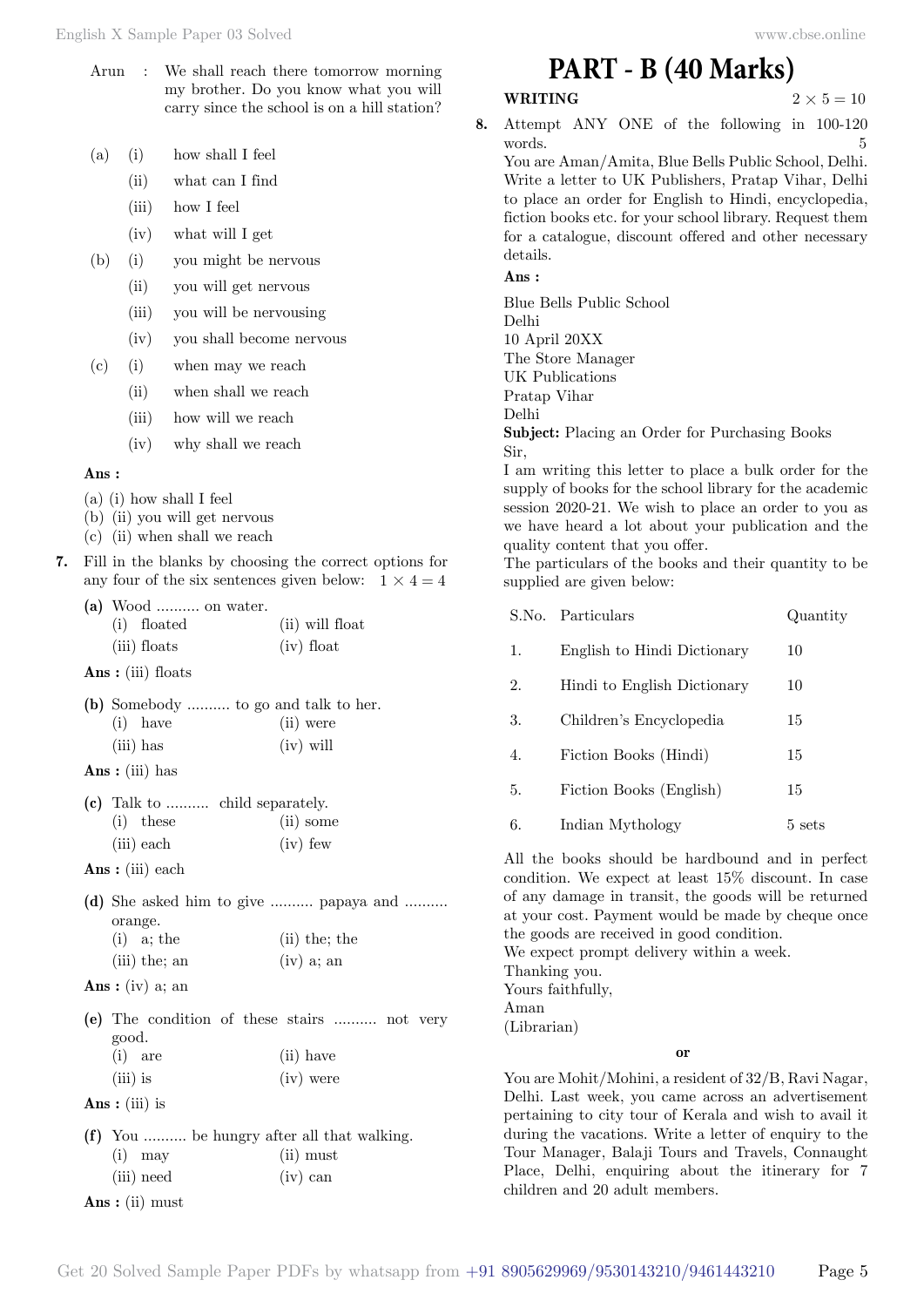- Arun : We shall reach there tomorrow morning my brother. Do you know what you will carry since the school is on a hill station?
- (a) (i) how shall I feel
	- (ii) what can I find
	- (iii) how I feel
	- (iv) what will I get
- (b) (i) you might be nervous
	- (ii) you will get nervous
	- (iii) you will be nervousing
	- (iv) you shall become nervous
- (c) (i) when may we reach
	- (ii) when shall we reach
	- (iii) how will we reach
	- (iv) why shall we reach

#### **Ans :**

- (a) (i) how shall I feel
- (b) (ii) you will get nervous
- (c) (ii) when shall we reach
- **7.** Fill in the blanks by choosing the correct options for any four of the six sentences given below:  $1 \times 4 = 4$ 
	- **(a)** Wood .......... on water.

| (i) floated  | (ii) will float |
|--------------|-----------------|
| (iii) floats | $(iv)$ float    |

 **Ans :** (iii) floats

|  |             |  | (b) Somebody  to go and talk to her. |  |
|--|-------------|--|--------------------------------------|--|
|  | $(i)$ have  |  | (ii) were                            |  |
|  | $(iii)$ has |  | $(iv)$ will                          |  |

 **Ans :** (iii) has

|             | (c) Talk to  child separately. |
|-------------|--------------------------------|
| $(i)$ these | $(ii)$ some                    |
| (iii) each  | $(iv)$ few                     |

- **Ans :** (iii) each
- **(d)** She asked him to give .......... papaya and .......... orange. (i) a; the  $(i)$  the; the

|                 | $(1 - 7)$ $(1 - 1)$ $(1 - 1)$ |
|-----------------|-------------------------------|
| $(iii)$ the; an | $(iv)$ a; an                  |

- **Ans :** (iv) a; an
- **(e)** The condition of these stairs .......... not very good. (i) are (ii) have
- (iii) is (iv) were  **Ans :** (iii) is
- **(f)** You .......... be hungry after all that walking. (i) may (ii) must  $(iii)$  need  $(iy)$  can
- **Ans :** (ii) must

**WRITING**  $2 \times 5 = 10$ 

**8.** Attempt ANY ONE of the following in 100-120 words. 5

You are Aman/Amita, Blue Bells Public School, Delhi. Write a letter to UK Publishers, Pratap Vihar, Delhi to place an order for English to Hindi, encyclopedia, fiction books etc. for your school library. Request them for a catalogue, discount offered and other necessary details.

 **Ans :**

Blue Bells Public School Delhi 10 April 20XX The Store Manager UK Publications Pratap Vihar Delhi **Subject:** Placing an Order for Purchasing Books Sir,

I am writing this letter to place a bulk order for the supply of books for the school library for the academic session 2020-21. We wish to place an order to you as we have heard a lot about your publication and the quality content that you offer.

The particulars of the books and their quantity to be supplied are given below:

|    | S.No. Particulars           | Quantity         |
|----|-----------------------------|------------------|
| 1. | English to Hindi Dictionary | 10               |
| 2. | Hindi to English Dictionary | 10               |
| 3. | Children's Encyclopedia     | 15               |
| 4. | Fiction Books (Hindi)       | 15               |
| 5. | Fiction Books (English)     | 15               |
| 6. | Indian Mythology            | $5 \text{ sets}$ |
|    |                             |                  |

All the books should be hardbound and in perfect condition. We expect at least 15% discount. In case of any damage in transit, the goods will be returned at your cost. Payment would be made by cheque once the goods are received in good condition. We expect prompt delivery within a week. Thanking you. Yours faithfully, Aman (Librarian)

#### **o**

You are Mohit/Mohini, a resident of 32/B, Ravi Nagar, Delhi. Last week, you came across an advertisement pertaining to city tour of Kerala and wish to avail it during the vacations. Write a letter of enquiry to the Tour Manager, Balaji Tours and Travels, Connaught Place, Delhi, enquiring about the itinerary for 7 children and 20 adult members.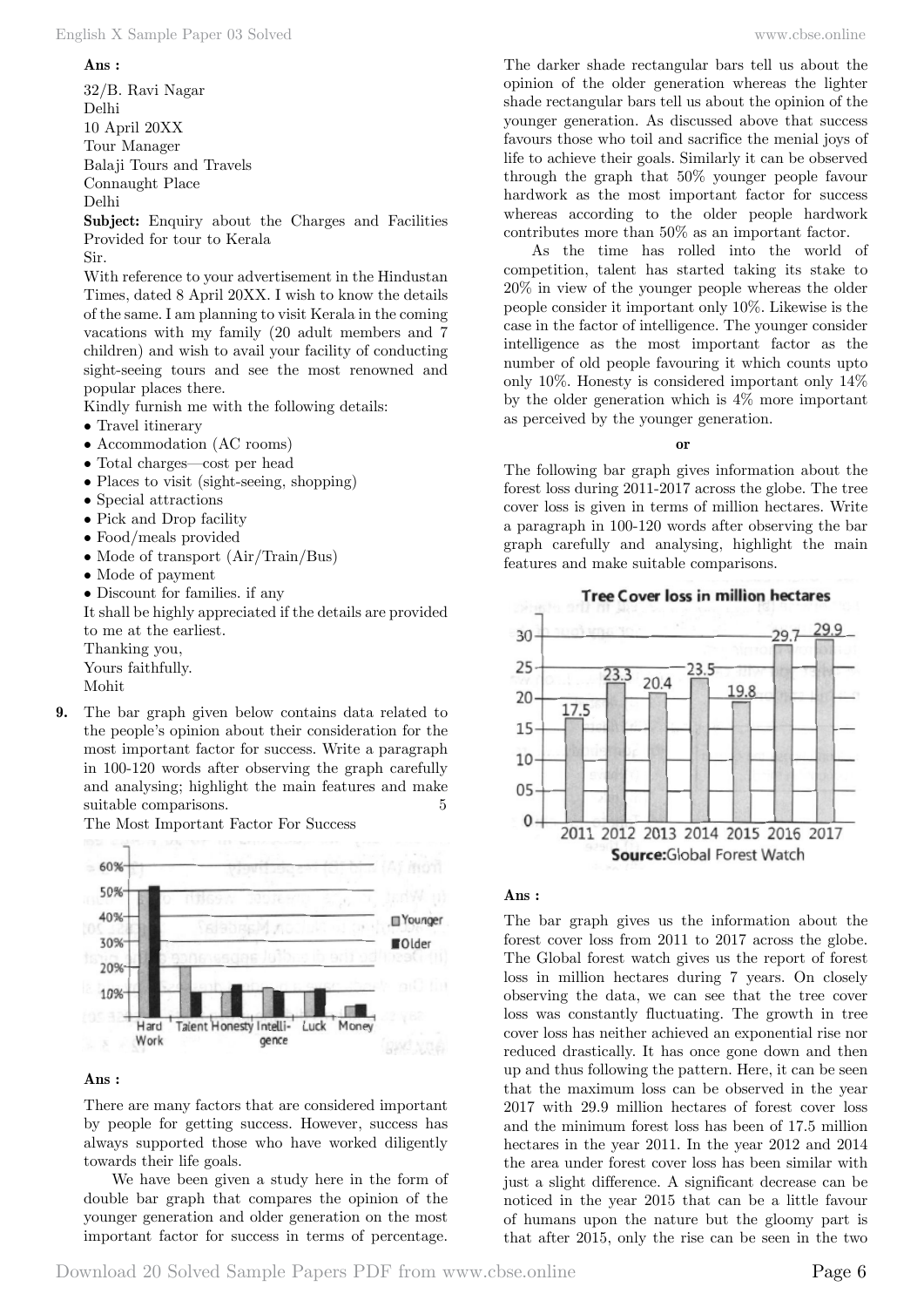#### English X Sample Paper 03 Solved [www.cbse.online](http://www.cbse.online)

#### **Ans :**

32/B. Ravi Nagar Delhi 10 April 20XX Tour Manager Balaji Tours and Travels Connaught Place Delhi

**Subject:** Enquiry about the Charges and Facilities Provided for tour to Kerala

Sir.

With reference to your advertisement in the Hindustan Times, dated 8 April 20XX. I wish to know the details of the same. I am planning to visit Kerala in the coming vacations with my family (20 adult members and 7 children) and wish to avail your facility of conducting sight-seeing tours and see the most renowned and popular places there.

Kindly furnish me with the following details:

- Travel itinerary
- Accommodation (AC rooms)
- Total charges—cost per head
- Places to visit (sight-seeing, shopping)
- Special attractions
- Pick and Drop facility
- Food/meals provided
- Mode of transport (Air/Train/Bus)
- Mode of payment
- Discount for families. if any

It shall be highly appreciated if the details are provided to me at the earliest.

Thanking you,

Yours faithfully.

Mohit

**9.** The bar graph given below contains data related to the people's opinion about their consideration for the most important factor for success. Write a paragraph in 100-120 words after observing the graph carefully and analysing; highlight the main features and make suitable comparisons. 5





#### **Ans :**

There are many factors that are considered important by people for getting success. However, success has always supported those who have worked diligently towards their life goals.

We have been given a study here in the form of double bar graph that compares the opinion of the younger generation and older generation on the most important factor for success in terms of percentage.

The darker shade rectangular bars tell us about the opinion of the older generation whereas the lighter shade rectangular bars tell us about the opinion of the younger generation. As discussed above that success favours those who toil and sacrifice the menial joys of life to achieve their goals. Similarly it can be observed through the graph that 50% younger people favour hardwork as the most important factor for success whereas according to the older people hardwork contributes more than 50% as an important factor.

As the time has rolled into the world of competition, talent has started taking its stake to 20% in view of the younger people whereas the older people consider it important only 10%. Likewise is the case in the factor of intelligence. The younger consider intelligence as the most important factor as the number of old people favouring it which counts upto only 10%. Honesty is considered important only 14% by the older generation which is 4% more important as perceived by the younger generation.

 **o**

The following bar graph gives information about the forest loss during 2011-2017 across the globe. The tree cover loss is given in terms of million hectares. Write a paragraph in 100-120 words after observing the bar graph carefully and analysing, highlight the main features and make suitable comparisons.



#### **Ans :**

The bar graph gives us the information about the forest cover loss from 2011 to 2017 across the globe. The Global forest watch gives us the report of forest loss in million hectares during 7 years. On closely observing the data, we can see that the tree cover loss was constantly fluctuating. The growth in tree cover loss has neither achieved an exponential rise nor reduced drastically. It has once gone down and then up and thus following the pattern. Here, it can be seen that the maximum loss can be observed in the year 2017 with 29.9 million hectares of forest cover loss and the minimum forest loss has been of 17.5 million hectares in the year 2011. In the year 2012 and 2014 the area under forest cover loss has been similar with just a slight difference. A significant decrease can be noticed in the year 2015 that can be a little favour of humans upon the nature but the gloomy part is that after 2015, only the rise can be seen in the two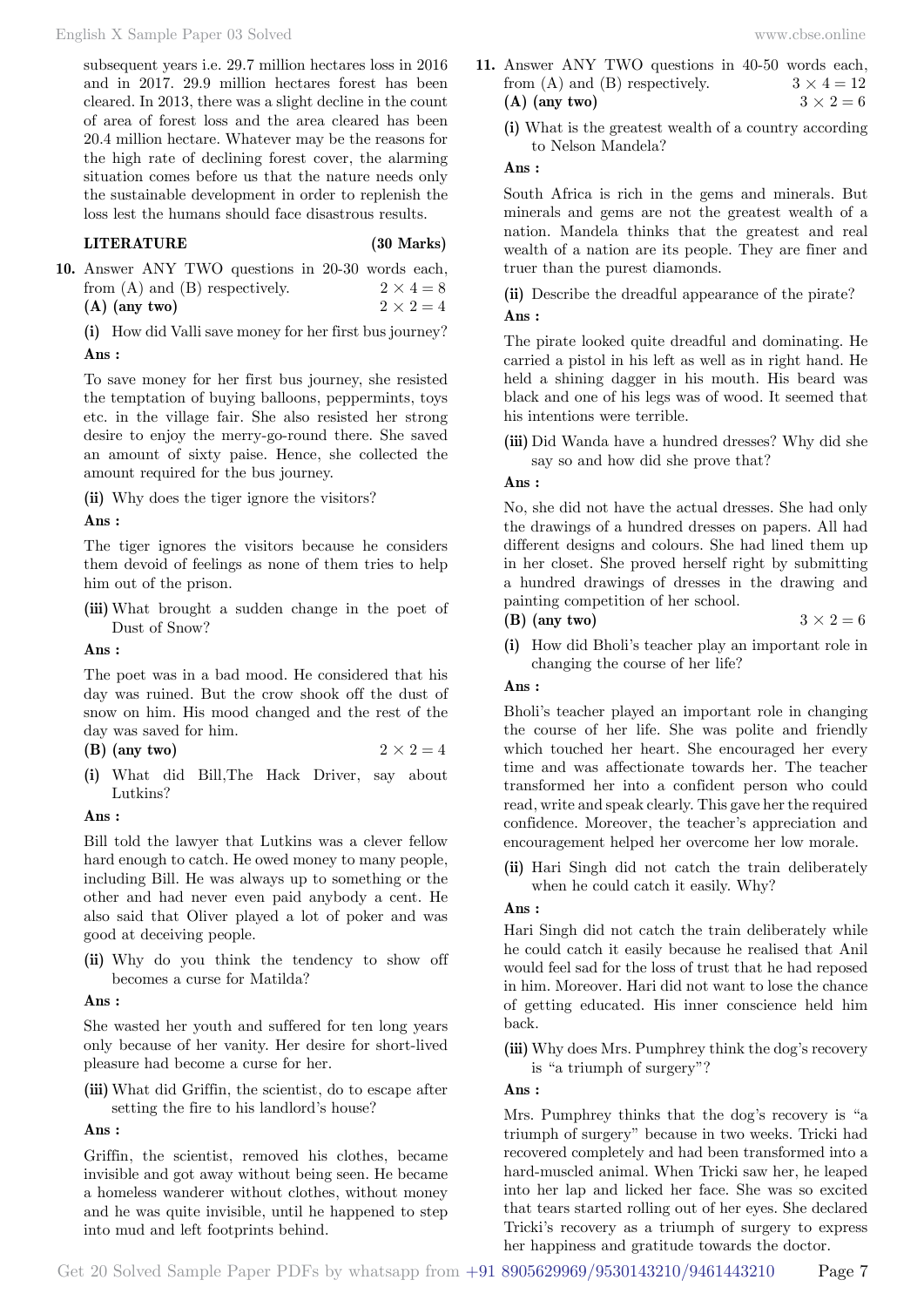subsequent years i.e. 29.7 million hectares loss in 2016 and in 2017. 29.9 million hectares forest has been cleared. In 2013, there was a slight decline in the count of area of forest loss and the area cleared has been 20.4 million hectare. Whatever may be the reasons for the high rate of declining forest cover, the alarming situation comes before us that the nature needs only the sustainable development in order to replenish the loss lest the humans should face disastrous results.

#### **LITERATURE (30 Marks)**

**10.** Answer ANY TWO questions in 20-30 words each, from (A) and (B) respectively.  $2 \times 4 = 8$ **(A)** (any two)  $2 \times 2 = 4$ 

**(i)** How did Valli save money for her first bus journey?  **Ans :**

To save money for her first bus journey, she resisted the temptation of buying balloons, peppermints, toys etc. in the village fair. She also resisted her strong desire to enjoy the merry-go-round there. She saved an amount of sixty paise. Hence, she collected the amount required for the bus journey.

**(ii)** Why does the tiger ignore the visitors?

#### **Ans :**

The tiger ignores the visitors because he considers them devoid of feelings as none of them tries to help him out of the prison.

**(iii)** What brought a sudden change in the poet of Dust of Snow?

 **Ans :**

The poet was in a bad mood. He considered that his day was ruined. But the crow shook off the dust of snow on him. His mood changed and the rest of the day was saved for him.

- **(B)** (any two)  $2 \times 2 = 4$
- **(i)** What did Bill,The Hack Driver, say about Lutkins?

 **Ans :**

Bill told the lawyer that Lutkins was a clever fellow hard enough to catch. He owed money to many people, including Bill. He was always up to something or the other and had never even paid anybody a cent. He also said that Oliver played a lot of poker and was good at deceiving people.

**(ii)** Why do you think the tendency to show off becomes a curse for Matilda?

 **Ans :**

She wasted her youth and suffered for ten long years only because of her vanity. Her desire for short-lived pleasure had become a curse for her.

**(iii)** What did Griffin, the scientist, do to escape after setting the fire to his landlord's house?

 **Ans :**

Griffin, the scientist, removed his clothes, became invisible and got away without being seen. He became a homeless wanderer without clothes, without money and he was quite invisible, until he happened to step into mud and left footprints behind.

- **11.** Answer ANY TWO questions in 40-50 words each, from (A) and (B) respectively.  $3 \times 4 = 12$ (A) (any two)  $3 \times 2 = 6$ 
	- **(i)** What is the greatest wealth of a country according to Nelson Mandela?

 **Ans :**

South Africa is rich in the gems and minerals. But minerals and gems are not the greatest wealth of a nation. Mandela thinks that the greatest and real wealth of a nation are its people. They are finer and truer than the purest diamonds.

**(ii)** Describe the dreadful appearance of the pirate?  **Ans :**

The pirate looked quite dreadful and dominating. He carried a pistol in his left as well as in right hand. He held a shining dagger in his mouth. His beard was black and one of his legs was of wood. It seemed that his intentions were terrible.

**(iii)** Did Wanda have a hundred dresses? Why did she say so and how did she prove that?

 **Ans :**

No, she did not have the actual dresses. She had only the drawings of a hundred dresses on papers. All had different designs and colours. She had lined them up in her closet. She proved herself right by submitting a hundred drawings of dresses in the drawing and painting competition of her school.

- **(B)** (any two)  $3 \times 2 = 6$
- **(i)** How did Bholi's teacher play an important role in changing the course of her life?

#### **Ans :**

Bholi's teacher played an important role in changing the course of her life. She was polite and friendly which touched her heart. She encouraged her every time and was affectionate towards her. The teacher transformed her into a confident person who could read, write and speak clearly. This gave her the required confidence. Moreover, the teacher's appreciation and encouragement helped her overcome her low morale.

**(ii)** Hari Singh did not catch the train deliberately when he could catch it easily. Why?

# **Ans :**

Hari Singh did not catch the train deliberately while he could catch it easily because he realised that Anil would feel sad for the loss of trust that he had reposed in him. Moreover. Hari did not want to lose the chance of getting educated. His inner conscience held him back.

**(iii)** Why does Mrs. Pumphrey think the dog's recovery is "a triumph of surgery"?

# **Ans :**

Mrs. Pumphrey thinks that the dog's recovery is "a triumph of surgery" because in two weeks. Tricki had recovered completely and had been transformed into a hard-muscled animal. When Tricki saw her, he leaped into her lap and licked her face. She was so excited that tears started rolling out of her eyes. She declared Tricki's recovery as a triumph of surgery to express her happiness and gratitude towards the doctor.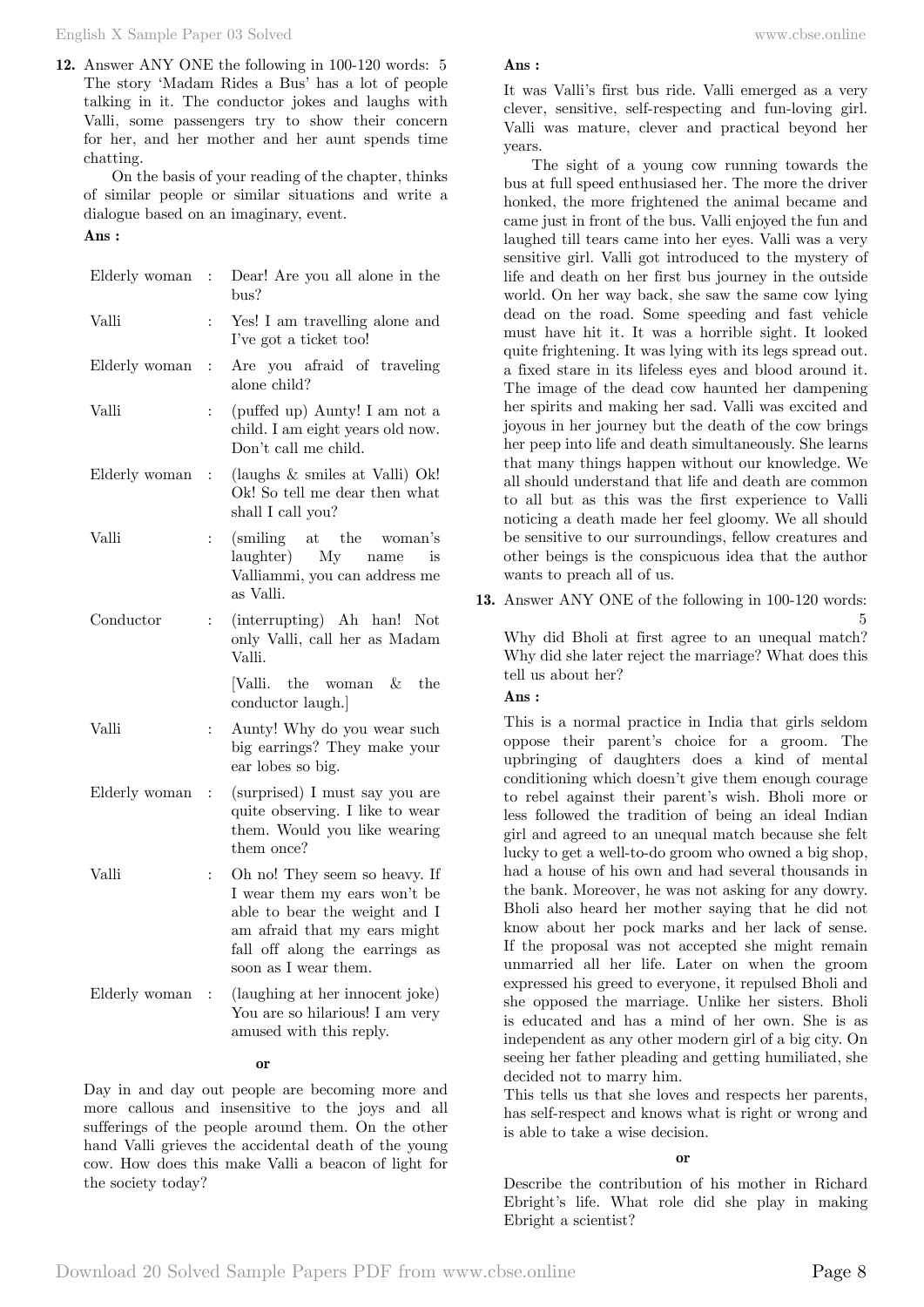English X Sample Paper 03 Solved [www.cbse.online](http://www.cbse.online) 

**12.** Answer ANY ONE the following in 100-120 words: 5 The story 'Madam Rides a Bus' has a lot of people talking in it. The conductor jokes and laughs with Valli, some passengers try to show their concern for her, and her mother and her aunt spends time chatting.

On the basis of your reading of the chapter, thinks of similar people or similar situations and write a dialogue based on an imaginary, event.

### **Ans :**

| Elderly woman | t.             | Dear! Are you all alone in the<br>bus?                                                                                                                                                   |
|---------------|----------------|------------------------------------------------------------------------------------------------------------------------------------------------------------------------------------------|
| Valli         | $\ddot{\cdot}$ | Yes! I am travelling alone and<br>I've got a ticket too!                                                                                                                                 |
| Elderly woman | $\ddot{\cdot}$ | Are you afraid of traveling<br>alone child?                                                                                                                                              |
| Valli         | $\ddot{\cdot}$ | (puffed up) Aunty! I am not a<br>child. I am eight years old now.<br>Don't call me child.                                                                                                |
| Elderly woman | $\vdots$       | (laughs & smiles at Valli) Ok!<br>Ok! So tell me dear then what<br>shall I call you?                                                                                                     |
| Valli         | $\vdots$       | (smiling at the woman's<br>laughter) My name<br>$-$ is<br>Valliammi, you can address me<br>as Valli.                                                                                     |
| Conductor     | $\ddot{\cdot}$ | (interrupting) Ah han! Not<br>only Valli, call her as Madam<br>Valli.                                                                                                                    |
|               |                | [Valli. the woman &<br>the<br>conductor laugh.]                                                                                                                                          |
| Valli         | $\ddot{\cdot}$ | Aunty! Why do you wear such<br>big earrings? They make your<br>ear lobes so big.                                                                                                         |
| Elderly woman | $\ddot{\cdot}$ | (surprised) I must say you are<br>quite observing. I like to wear<br>them. Would you like wearing<br>them once?                                                                          |
| Valli         | $\ddot{\cdot}$ | Oh no! They seem so heavy. If<br>I wear them my ears won't be<br>able to bear the weight and I<br>am afraid that my ears might<br>fall off along the earrings as<br>soon as I wear them. |
| Elderly woman | $\vdots$       | (laughing at her innocent joke)<br>You are so hilarious! I am very<br>amused with this reply.                                                                                            |

#### **o**

Day in and day out people are becoming more and more callous and insensitive to the joys and all sufferings of the people around them. On the other hand Valli grieves the accidental death of the young cow. How does this make Valli a beacon of light for the society today?

#### **Ans :**

It was Valli's first bus ride. Valli emerged as a very clever, sensitive, self-respecting and fun-loving girl. Valli was mature, clever and practical beyond her years.

The sight of a young cow running towards the bus at full speed enthusiased her. The more the driver honked, the more frightened the animal became and came just in front of the bus. Valli enjoyed the fun and laughed till tears came into her eyes. Valli was a very sensitive girl. Valli got introduced to the mystery of life and death on her first bus journey in the outside world. On her way back, she saw the same cow lying dead on the road. Some speeding and fast vehicle must have hit it. It was a horrible sight. It looked quite frightening. It was lying with its legs spread out. a fixed stare in its lifeless eyes and blood around it. The image of the dead cow haunted her dampening her spirits and making her sad. Valli was excited and joyous in her journey but the death of the cow brings her peep into life and death simultaneously. She learns that many things happen without our knowledge. We all should understand that life and death are common to all but as this was the first experience to Valli noticing a death made her feel gloomy. We all should be sensitive to our surroundings, fellow creatures and other beings is the conspicuous idea that the author wants to preach all of us.

**13.** Answer ANY ONE of the following in 100-120 words:

5 Why did Bholi at first agree to an unequal match? Why did she later reject the marriage? What does this tell us about her?

#### **Ans :**

This is a normal practice in India that girls seldom oppose their parent's choice for a groom. The upbringing of daughters does a kind of mental conditioning which doesn't give them enough courage to rebel against their parent's wish. Bholi more or less followed the tradition of being an ideal Indian girl and agreed to an unequal match because she felt lucky to get a well-to-do groom who owned a big shop, had a house of his own and had several thousands in the bank. Moreover, he was not asking for any dowry. Bholi also heard her mother saying that he did not know about her pock marks and her lack of sense. If the proposal was not accepted she might remain unmarried all her life. Later on when the groom expressed his greed to everyone, it repulsed Bholi and she opposed the marriage. Unlike her sisters. Bholi is educated and has a mind of her own. She is as independent as any other modern girl of a big city. On seeing her father pleading and getting humiliated, she decided not to marry him.

This tells us that she loves and respects her parents, has self-respect and knows what is right or wrong and is able to take a wise decision.

 **o**

Describe the contribution of his mother in Richard Ebright's life. What role did she play in making Ebright a scientist?